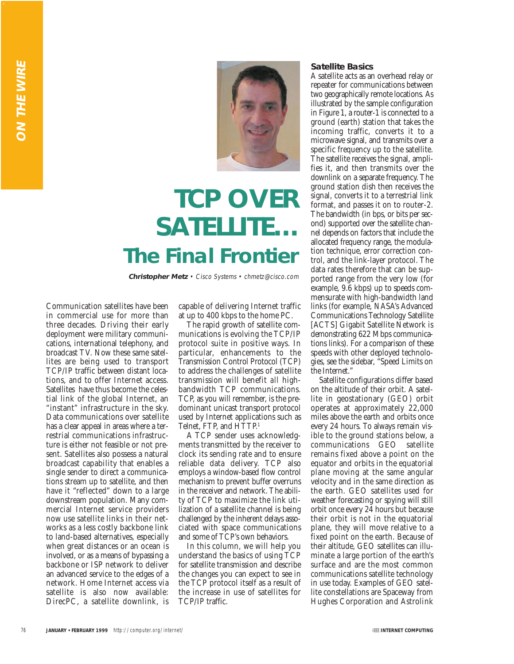.



# **TCP OVER SATELLITE… The Final Frontier**

**Christopher Metz** • Cisco Systems • chmetz@cisco.com

Communication satellites have been in commercial use for more than three decades. Driving their early deployment were military communications, international telephony, and broadcast TV. Now these same satellites are being used to transport TCP/IP traffic between distant locations, and to offer Internet access. Satellites have thus become the celestial link of the global Internet, an "instant" infrastructure in the sky. Data communications over satellite has a clear appeal in areas where a terrestrial communications infrastructure is either not feasible or not present. Satellites also possess a natural broadcast capability that enables a single sender to direct a communications stream up to satellite, and then have it "reflected" down to a large downstream population. Many commercial Internet service providers now use satellite links in their networks as a less costly backbone link to land-based alternatives, especially when great distances or an ocean is involved, or as a means of bypassing a backbone or ISP network to deliver an advanced service to the edges of a network. Home Internet access via satellite is also now available: DirecPC, a satellite downlink, is

capable of delivering Internet traffic at up to 400 kbps to the home PC.

The rapid growth of satellite communications is evolving the TCP/IP protocol suite in positive ways. In particular, enhancements to the Transmission Control Protocol (TCP) to address the challenges of satellite transmission will benefit *all* highbandwidth TCP communications. TCP, as you will remember, is the predominant unicast transport protocol used by Internet applications such as Telnet, FTP, and HTTP.<sup>1</sup>

A TCP sender uses acknowledgments transmitted by the receiver to clock its sending rate and to ensure reliable data delivery. TCP also employs a window-based flow control mechanism to prevent buffer overruns in the receiver and network. The ability of TCP to maximize the link utilization of a satellite channel is being challenged by the inherent delays associated with space communications and some of TCP's own behaviors.

In this column, we will help you understand the basics of using TCP for satellite transmission and describe the changes you can expect to see in the TCP protocol itself as a result of the increase in use of satellites for TCP/IP traffic.

#### **Satellite Basics**

A satellite acts as an overhead relay or repeater for communications between two geographically remote locations. As illustrated by the sample configuration in Figure 1, a router-1 is connected to a ground (earth) station that takes the incoming traffic, converts it to a microwave signal, and transmits over a specific frequency up to the satellite. The satellite receives the signal, amplifies it, and then transmits over the downlink on a separate frequency. The ground station dish then receives the signal, converts it to a terrestrial link format, and passes it on to router-2. The bandwidth (in bps, or bits per second) supported over the satellite channel depends on factors that include the allocated frequency range, the modulation technique, error correction control, and the link-layer protocol. The data rates therefore that can be supported range from the very low (for example, 9.6 kbps) up to speeds commensurate with high-bandwidth land links (for example, NASA's Advanced Communications Technology Satellite [ACTS] Gigabit Satellite Network is demonstrating 622 Mbps communications links). For a comparison of these speeds with other deployed technologies, see the sidebar, "Speed Limits on the Internet."

Satellite configurations differ based on the altitude of their orbit. A satellite in geostationary (GEO) orbit operates at approximately 22,000 miles above the earth and orbits once every 24 hours. To always remain visible to the ground stations below, a communications GEO satellite remains fixed above a point on the equator and orbits in the equatorial plane moving at the same angular velocity and in the same direction as the earth. GEO satellites used for weather forecasting or spying will still orbit once every 24 hours but because their orbit is not in the equatorial plane, they will move relative to a fixed point on the earth. Because of their altitude, GEO satellites can illuminate a large portion of the earth's surface and are the most common communications satellite technology in use today. Examples of GEO satellite constellations are Spaceway from Hughes Corporation and Astrolink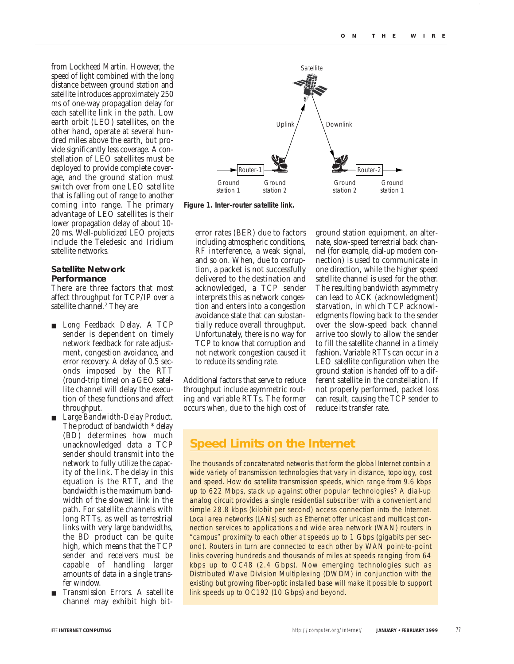from Lockheed Martin. However, the speed of light combined with the long distance between ground station and satellite introduces approximately 250 ms of one-way propagation delay for each satellite link in the path. Low earth orbit (LEO) satellites, on the other hand, operate at several hundred miles above the earth, but provide significantly less coverage. A constellation of LEO satellites must be deployed to provide complete coverage, and the ground station must switch over from one LEO satellite that is falling out of range to another coming into range. The primary advantage of LEO satellites is their lower propagation delay of about 10- 20 ms. Well-publicized LEO projects include the Teledesic and Iridium satellite networks.

### **Satellite Network Performance**

There are three factors that most affect throughput for TCP/IP over a satellite channel.<sup>2</sup> They are

- *Long Feedback Delay*. A TCP sender is dependent on timely network feedback for rate adjustment, congestion avoidance, and error recovery. A delay of 0.5 seconds imposed by the RTT (round-trip time) on a GEO satellite channel will delay the execution of these functions and affect throughput.
- *Large Bandwidth-Delay Product.* The product of bandwidth \* delay (BD) determines how much unacknowledged data a TCP sender should transmit into the network to fully utilize the capacity of the link. The delay in this equation is the RTT, and the bandwidth is the maximum bandwidth of the slowest link in the path. For satellite channels with long RTTs, as well as terrestrial links with very large bandwidths, the BD product can be quite high, which means that the TCP sender and receivers must be capable of handling larger amounts of data in a single transfer window.
- *Transmission Errors.* A satellite channel may exhibit high bit-



**Figure 1. Inter-router satellite link.**

error rates (BER) due to factors including atmospheric conditions, RF interference, a weak signal, and so on. When, due to corruption, a packet is not successfully delivered to the destination and acknowledged, a TCP sender interprets this as network congestion and enters into a congestion avoidance state that can substantially reduce overall throughput. Unfortunately, there is no way for TCP to know that corruption and not network congestion caused it to reduce its sending rate.

Additional factors that serve to reduce throughput include asymmetric routing and variable RTTs. The former occurs when, due to the high cost of ground station equipment, an alternate, slow-speed terrestrial back channel (for example, dial-up modem connection) is used to communicate in one direction, while the higher speed satellite channel is used for the other. The resulting bandwidth asymmetry can lead to ACK (acknowledgment) starvation, in which TCP acknowledgments flowing back to the sender over the slow-speed back channel arrive too slowly to allow the sender to fill the satellite channel in a timely fashion. Variable RTTs can occur in a LEO satellite configuration when the ground station is handed off to a different satellite in the constellation. If not properly performed, packet loss can result, causing the TCP sender to reduce its transfer rate.

## **Speed Limits on the Internet**

The thousands of concatenated networks that form the global Internet contain a wide variety of transmission technologies that vary in distance, topology, cost and speed. How do satellite transmission speeds, which range from 9.6 kbps up to 622 Mbps, stack up against other popular technologies? A dial-up analog circuit provides a single residential subscriber with a convenient and simple 28.8 kbps (kilobit per second) access connection into the Internet. Local area networks (LANs) such as Ethernet offer unicast and multicast connection services to applications and wide area network (WAN) routers in "campus" proximity to each other at speeds up to 1 Gbps (gigabits per second). Routers in turn are connected to each other by WAN point-to-point links covering hundreds and thousands of miles at speeds ranging from 64 kbps up to OC48 (2.4 Gbps). Now emerging technologies such as Distributed Wave Division Multiplexing (DWDM) in conjunction with the existing but growing fiber-optic installed base will make it possible to support link speeds up to OC192 (10 Gbps) and beyond.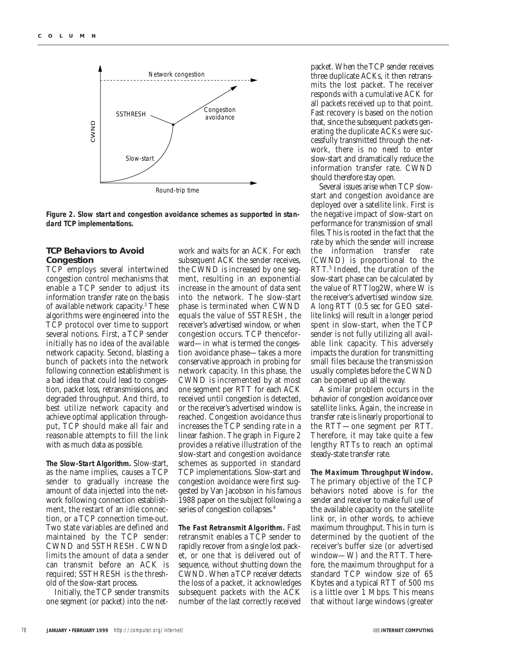

**Figure 2. Slow start and congestion avoidance schemes as supported in standard TCP implementations.**

#### **TCP Behaviors to Avoid Congestion**

TCP employs several intertwined congestion control mechanisms that enable a TCP sender to adjust its information transfer rate on the basis of available network capacity. <sup>3</sup> These algorithms were engineered into the TCP protocol over time to support several notions. First, a TCP sender initially has no idea of the available network capacity. Second, blasting a bunch of packets into the network following connection establishment is a bad idea that could lead to congestion, packet loss, retransmissions, and degraded throughput. And third, to best utilize network capacity and achieve optimal application throughput, TCP should make all fair and reasonable attempts to fill the link with as much data as possible.

**The Slow-Start Algorithm.** Slow-start, as the name implies, causes a TCP sender to gradually increase the amount of data injected into the network following connection establishment, the restart of an idle connection, or a TCP connection time-out. Two state variables are defined and maintained by the TCP sender: CWND and SSTHRESH. CWND limits the amount of data a sender can transmit before an ACK is required; SSTHRESH is the threshold of the slow-start process.

Initially, the TCP sender transmits one segment (or packet) into the network and waits for an ACK. For each subsequent ACK the sender receives, the CWND is increased by one segment, resulting in an exponential increase in the amount of data sent into the network. The slow-start phase is terminated when CWND equals the value of SSTRESH, the receiver's advertised window, or when congestion occurs. TCP thenceforward—in what is termed the congestion avoidance phase—takes a more conservative approach in probing for network capacity. In this phase, the CWND is incremented by at most one segment per RTT for each ACK received until congestion is detected, or the receiver's advertised window is reached. Congestion avoidance thus increases the TCP sending rate in a linear fashion. The graph in Figure 2 provides a relative illustration of the slow-start and congestion avoidance schemes as supported in standard TCP implementations. Slow-start and congestion avoidance were first suggested by Van Jacobson in his famous 1988 paper on the subject following a series of congestion collapses.<sup>4</sup>

**The Fast Retransmit Algorithm.** Fast retransmit enables a TCP sender to rapidly recover from a single lost packet, or one that is delivered out of sequence, without shutting down the CWND. When a TCP receiver detects the loss of a packet, it acknowledges subsequent packets with the ACK number of the last correctly received packet. When the TCP sender receives three duplicate ACKs, it then retransmits the lost packet. The receiver responds with a cumulative ACK for all packets received up to that point. Fast recovery is based on the notion that, since the subsequent packets generating the duplicate ACKs were successfully transmitted through the network, there is no need to enter slow-start and dramatically reduce the information transfer rate. CWND should therefore stay open.

Several issues arise when TCP slowstart and congestion avoidance are deployed over a satellite link. First is the negative impact of slow-start on performance for transmission of small files. This is rooted in the fact that the rate by which the sender will increase the information transfer rate (CWND) is proportional to the RTT. 5 Indeed, the duration of the slow-start phase can be calculated by the value of RTTlog2W, where W is the receiver's advertised window size. A long RTT (0.5 sec for GEO satellite links) will result in a longer period spent in slow-start, when the TCP sender is not fully utilizing all available link capacity. This adversely impacts the duration for transmitting small files because the transmission usually completes before the CWND can be opened up all the way.

A similar problem occurs in the behavior of congestion avoidance over satellite links. Again, the increase in transfer rate is linearly proportional to the RTT—one segment per RTT. Therefore, it may take quite a few lengthy RTTs to reach an optimal steady-state transfer rate.

**The Maximum Throughput Window.** The primary objective of the TCP behaviors noted above is for the sender and receiver to make full use of the available capacity on the satellite link or, in other words, to achieve maximum throughput. This in turn is determined by the quotient of the receiver's buffer size (or advertised window—W) and the RTT. Therefore, the maximum throughput for a standard TCP window size of 65 Kbytes and a typical RTT of 500 ms is a little over 1 Mbps. This means that without large windows (greater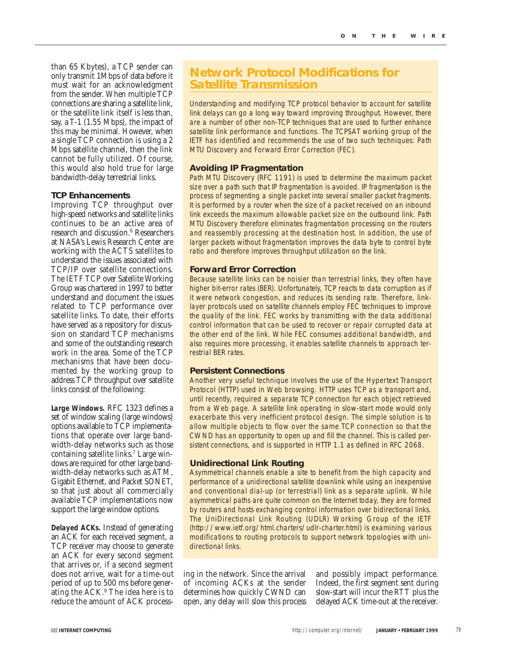than 65 Kbytes), a TCP sender can only transmit 1Mbps of data before it must wait for an acknowledgment from the sender. When multiple TCP connections are sharing a satellite link, or the satellite link itself is less than, say, a T-1 (1.55 Mbps), the impact of this may be minimal. However, when a single TCP connection is using a 2 Mbps satellite channel, then the link cannot be fully utilized. Of course, this would also hold true for large bandwidth-delay terrestrial links.

#### **TCP Enhancements**

Improving TCP throughput over high-speed networks and satellite links continues to be an active area of research and discussion.<sup>6</sup> Researchers at NASA's Lewis Research Center are working with the ACTS satellites to understand the issues associated with TCP/IP over satellite connections. The IETF TCP over Satellite Working Group was chartered in 1997 to better understand and document the issues related to TCP performance over satellite links. To date, their efforts have served as a repository for discussion on standard TCP mechanisms and some of the outstanding research work in the area. Some of the TCP mechanisms that have been documented by the working group to address TCP throughput over satellite links consist of the following:

**Large Windows.** RFC 1323 defines a set of window scaling (large windows) options available to TCP implementations that operate over large bandwidth-delay networks such as those containing satellite links.7 Large windows are required for other large bandwidth-delay networks such as ATM, Gigabit Ethernet, and Packet SONET, so that just about all commercially available TCP implementations now support the large window options.

**Delayed ACKs.** Instead of generating an ACK for each received segment, a TCP receiver may choose to generate an ACK for every second segment that arrives or, if a second segment does not arrive, wait for a time-out period of up to 500 ms before generating the ACK.8 The idea here is to reduce the amount of ACK process-

## **Network Protocol Modifications for Satellite Transmission**

Understanding and modifying TCP protocol behavior to account for satellite link delays can go a long way toward improving throughput. However, there are a number of other non-TCP techniques that are used to further enhance satellite link performance and functions. The TCPSAT working group of the IETF has identified and recommends the use of two such techniques: Path MTU Discovery and Forward Error Correction (FEC).

#### **Avoiding IP Fragmentation**

Path MTU Discovery (RFC 1191) is used to determine the maximum packet size over a path such that IP fragmentation is avoided. IP fragmentation is the process of segmenting a single packet into several smaller packet fragments. It is performed by a router when the size of a packet received on an inbound link exceeds the maximum allowable packet size on the outbound link. Path MTU Discovery therefore eliminates fragmentation processing on the routers and reassembly processing at the destination host. In addition, the use of larger packets without fragmentation improves the data byte to control byte ratio and therefore improves throughput utilization on the link.

#### **Forward Error Correction**

Because satellite links can be noisier than terrestrial links, they often have higher bit-error rates (BER). Unfortunately, TCP reacts to data corruption as if it were network congestion, and reduces its sending rate. Therefore, linklayer protocols used on satellite channels employ FEC techniques to improve the quality of the link. FEC works by transmitting with the data additional control information that can be used to recover or repair corrupted data at the other end of the link. While FEC consumes additional bandwidth, and also requires more processing, it enables satellite channels to approach terrestrial BER rates.

#### **Persistent Connections**

Another very useful technique involves the use of the Hypertext Transport Protocol (HTTP) used in Web browsing. HTTP uses TCP as a transport and, until recently, required a separate TCP connection for each object retrieved from a Web page. A satellite link operating in slow-start mode would only exacerbate this very inefficient protocol design. The simple solution is to allow multiple objects to flow over the same TCP connection so that the CWND has an opportunity to open up and fill the channel. This is called persistent connections, and is supported in HTTP 1.1 as defined in RFC 2068.

#### **Unidirectional Link Routing**

Asymmetrical channels enable a site to benefit from the high capacity and performance of a unidirectional satellite downlink while using an inexpensive and conventional dial-up (or terrestrial) link as a separate uplink. While asymmetrical paths are quite common on the Internet today, they are formed by routers and hosts exchanging control information over bidirectional links. The UniDirectional Link Routing (UDLR) Working Group of the IETF (http://www.ietf.org/html.charters/udlr-charter.html) is examining various modifications to routing protocols to support network topologies with unidirectional links.

ing in the network. Since the arrival of incoming ACKs at the sender determines how quickly CWND can open, any delay will slow this process

and possibly impact performance. Indeed, the first segment sent during slow-start will incur the RTT plus the delayed ACK time-out at the receiver.